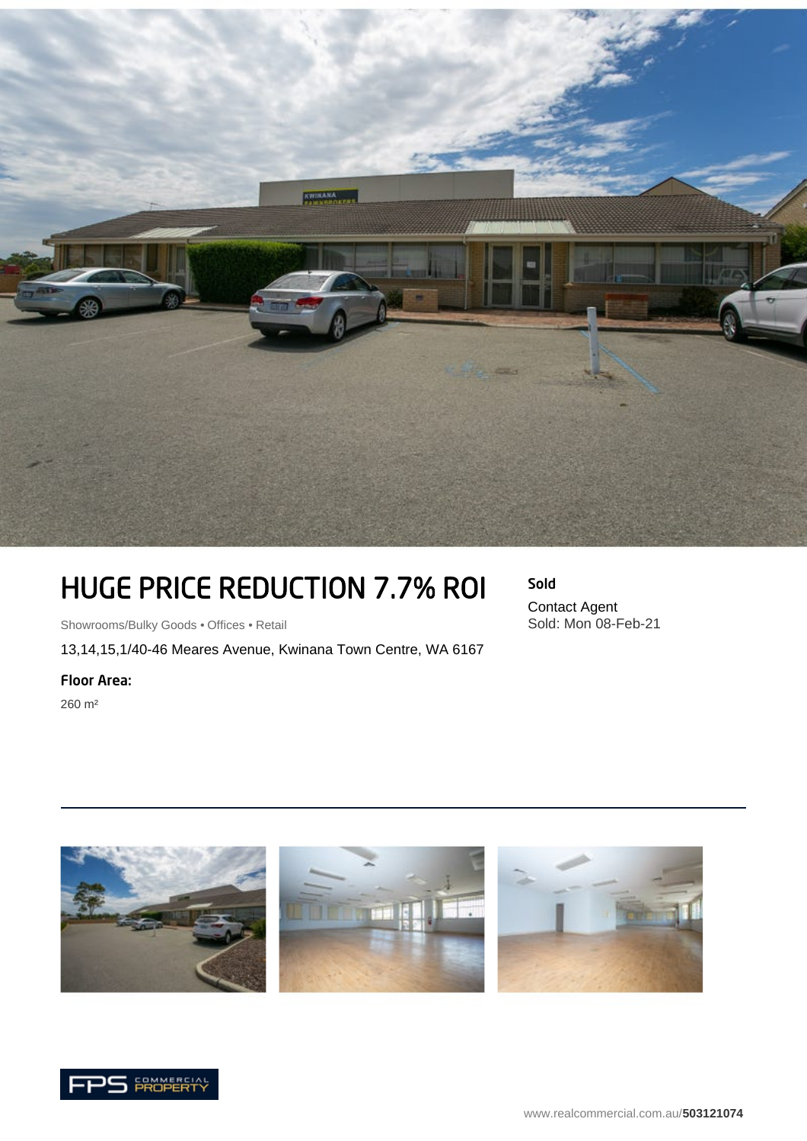

## HUGE PRICE REDUCTION 7.7% ROI

Showrooms/Bulky Goods • Offices • Retail

13,14,15,1/40-46 Meares Avenue, Kwinana Town Centre, WA 6167

## Floor Area:

260 m²

Sold Contact Agent Sold: Mon 08-Feb-21